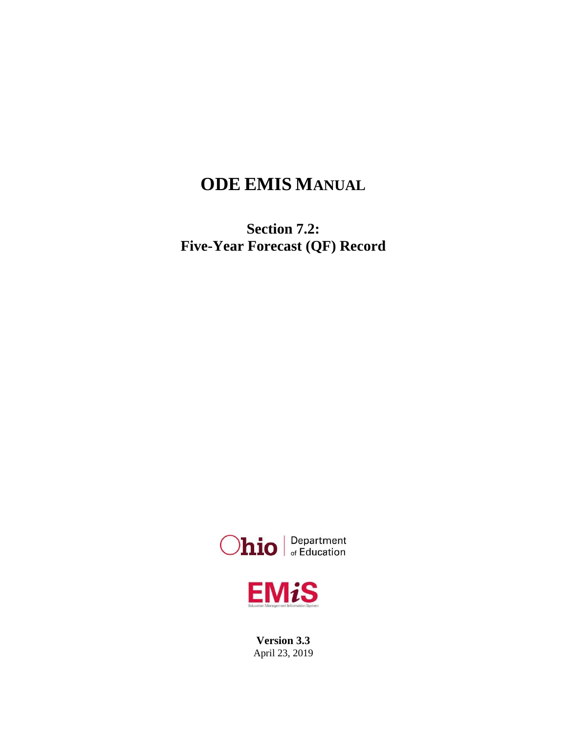# **ODE EMIS MANUAL**

**Section 7.2: Five-Year Forecast (QF) Record**





**Version 3.3** April 23, 2019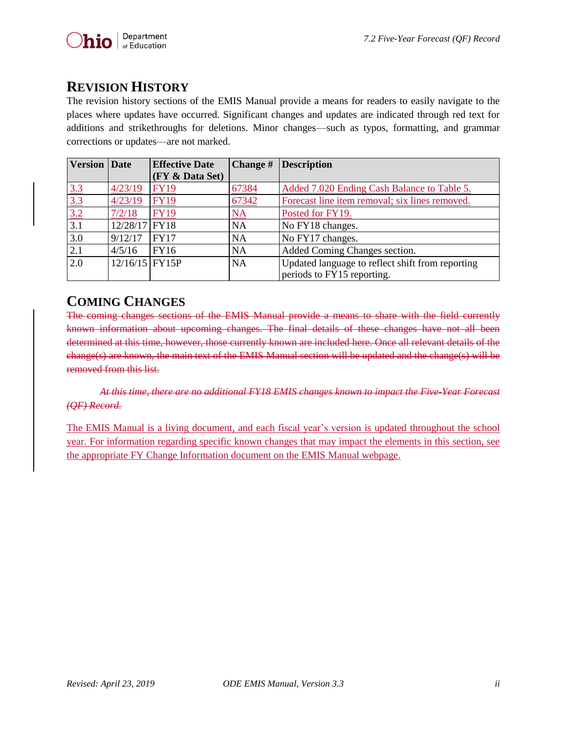# <span id="page-1-0"></span>**REVISION HISTORY**

The revision history sections of the EMIS Manual provide a means for readers to easily navigate to the places where updates have occurred. Significant changes and updates are indicated through red text for additions and strikethroughs for deletions. Minor changes—such as typos, formatting, and grammar corrections or updates—are not marked.

| <b>Version</b>                         | Date             | <b>Effective Date</b> | Change #  | <b>Description</b>                               |
|----------------------------------------|------------------|-----------------------|-----------|--------------------------------------------------|
|                                        |                  | (FY & Data Set)       |           |                                                  |
|                                        | 4/23/19          | <b>FY19</b>           | 67384     | Added 7.020 Ending Cash Balance to Table 5.      |
|                                        | 4/23/19          | <b>FY19</b>           | 67342     | Forecast line item removal; six lines removed.   |
| $\frac{3.3}{3.3}$<br>$\frac{3.3}{3.2}$ | 7/2/18           | <b>FY19</b>           | <u>NA</u> | Posted for FY19.                                 |
| $\overline{3.1}$                       | 12/28/17 FY18    |                       | <b>NA</b> | No FY18 changes.                                 |
| 3.0                                    | 9/12/17          | <b>FY17</b>           | <b>NA</b> | No FY17 changes.                                 |
| 2.1                                    | 4/5/16           | FY16                  | <b>NA</b> | Added Coming Changes section.                    |
| 2.0                                    | $12/16/15$ FY15P |                       | <b>NA</b> | Updated language to reflect shift from reporting |
|                                        |                  |                       |           | periods to FY15 reporting.                       |

# <span id="page-1-1"></span>**COMING CHANGES**

The coming changes sections of the EMIS Manual provide a means to share with the field currently known information about upcoming changes. The final details of these changes have not all been determined at this time, however, those currently known are included here. Once all relevant details of the change(s) are known, the main text of the EMIS Manual section will be updated and the change(s) will be removed from this list.

*At this time, there are no additional FY18 EMIS changes known to impact the Five-Year Forecast (QF) Record.*

The EMIS Manual is a living document, and each fiscal year's version is updated throughout the school year. For information regarding specific known changes that may impact the elements in this section, see the appropriate FY Change Information document on the EMIS Manual webpage.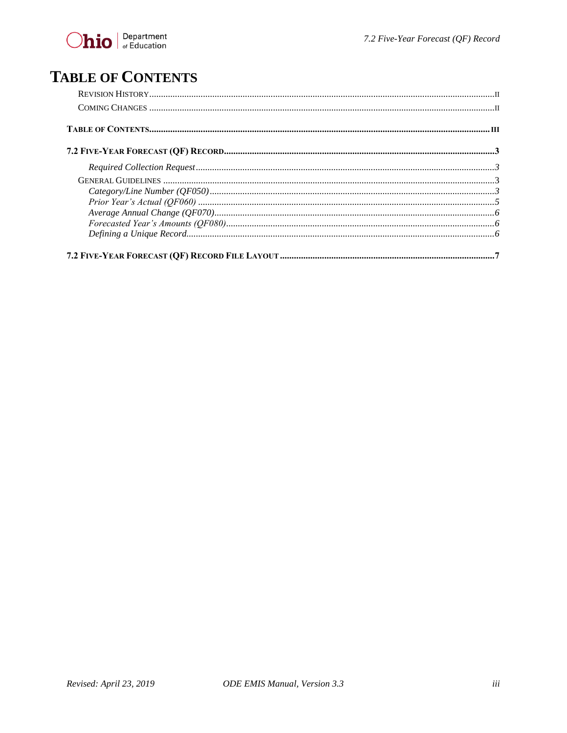# <span id="page-2-0"></span>**TABLE OF CONTENTS**

| $\emph{Average Annual Change (QF070)} \label{prop:1} \normalsize \textit{Average Annual Change (QF070)} \normalsize \textit{} \normalsize \textit{} \normalsize \textit{} \normalsize \textit{} \normalsize \textit{} \normalsize \textit{} \normalsize \textit{} \normalsize \textit{} \normalsize \textit{} \normalsize \textit{} \normalsize \textit{} \normalsize \textit{} \normalsize \textit{} \normalsize \textit{} \normalsize \textit{} \normalsize \textit{} \normalsize \textit{} \normalsize \textit{} \$ |  |
|------------------------------------------------------------------------------------------------------------------------------------------------------------------------------------------------------------------------------------------------------------------------------------------------------------------------------------------------------------------------------------------------------------------------------------------------------------------------------------------------------------------------|--|
|                                                                                                                                                                                                                                                                                                                                                                                                                                                                                                                        |  |
|                                                                                                                                                                                                                                                                                                                                                                                                                                                                                                                        |  |
|                                                                                                                                                                                                                                                                                                                                                                                                                                                                                                                        |  |
|                                                                                                                                                                                                                                                                                                                                                                                                                                                                                                                        |  |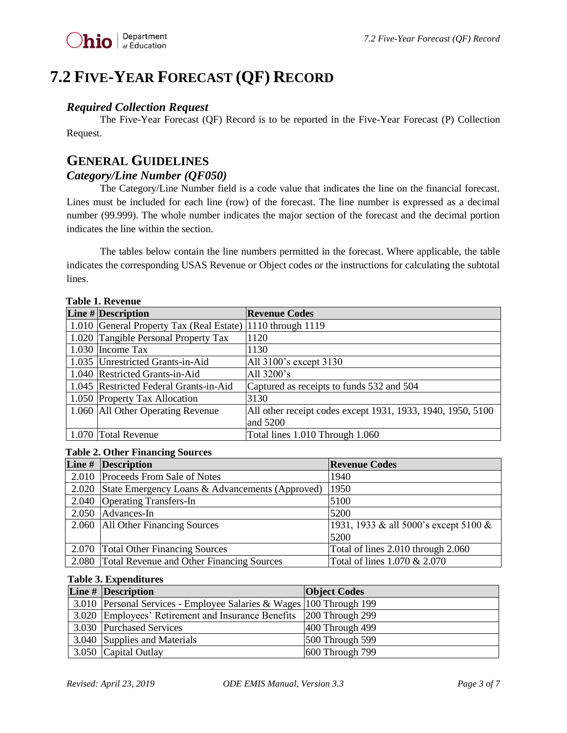# <span id="page-3-0"></span>**7.2 FIVE-YEAR FORECAST (QF) RECORD**

### <span id="page-3-1"></span>*Required Collection Request*

The Five-Year Forecast (QF) Record is to be reported in the Five-Year Forecast (P) Collection Request.

## <span id="page-3-2"></span>**GENERAL GUIDELINES**

## <span id="page-3-3"></span>*Category/Line Number (QF050)*

The Category/Line Number field is a code value that indicates the line on the financial forecast. Lines must be included for each line (row) of the forecast. The line number is expressed as a decimal number (99.999). The whole number indicates the major section of the forecast and the decimal portion indicates the line within the section.

The tables below contain the line numbers permitted in the forecast. Where applicable, the table indicates the corresponding USAS Revenue or Object codes or the instructions for calculating the subtotal lines.

| LAME L. REVENUE                                            |                                                             |  |  |  |
|------------------------------------------------------------|-------------------------------------------------------------|--|--|--|
| Line $\#$ Description                                      | <b>Revenue Codes</b>                                        |  |  |  |
| 1.010 General Property Tax (Real Estate) 1110 through 1119 |                                                             |  |  |  |
| 1.020 Tangible Personal Property Tax                       | 1120                                                        |  |  |  |
| 1.030 Income Tax                                           | 1130                                                        |  |  |  |
| 1.035 Unrestricted Grants-in-Aid                           | All 3100's except 3130                                      |  |  |  |
| 1.040 Restricted Grants-in-Aid                             | All 3200's                                                  |  |  |  |
| 1.045 Restricted Federal Grants-in-Aid                     | Captured as receipts to funds 532 and 504                   |  |  |  |
| 1.050 Property Tax Allocation                              | 3130                                                        |  |  |  |
| 1.060 All Other Operating Revenue                          | All other receipt codes except 1931, 1933, 1940, 1950, 5100 |  |  |  |
|                                                            | and 5200                                                    |  |  |  |
| 1.070 Total Revenue                                        | Total lines 1.010 Through 1.060                             |  |  |  |

### **Table 1. Revenue**

#### **Table 2. Other Financing Sources**

| Line # Description                                    | <b>Revenue Codes</b>                  |
|-------------------------------------------------------|---------------------------------------|
| 2.010 Proceeds From Sale of Notes                     | 1940                                  |
| 2.020 State Emergency Loans & Advancements (Approved) | 1950                                  |
| 2.040 Operating Transfers-In                          | 5100                                  |
| 2.050 Advances-In                                     | 5200                                  |
| 2.060 All Other Financing Sources                     | 1931, 1933 & all 5000's except 5100 & |
|                                                       | 5200                                  |
| 2.070 Total Other Financing Sources                   | Total of lines 2.010 through 2.060    |
| 2.080 Total Revenue and Other Financing Sources       | Total of lines 1.070 & 2.070          |

#### **Table 3. Expenditures**

| Line $#$ Description                                                | <b>Object Codes</b> |
|---------------------------------------------------------------------|---------------------|
| 3.010 Personal Services - Employee Salaries & Wages 100 Through 199 |                     |
| 3.020 Employees' Retirement and Insurance Benefits 200 Through 299  |                     |
| 3.030 Purchased Services                                            | 400 Through 499     |
| 3.040 Supplies and Materials                                        | $500$ Through 599   |
| 3.050 Capital Outlay                                                | 600 Through 799     |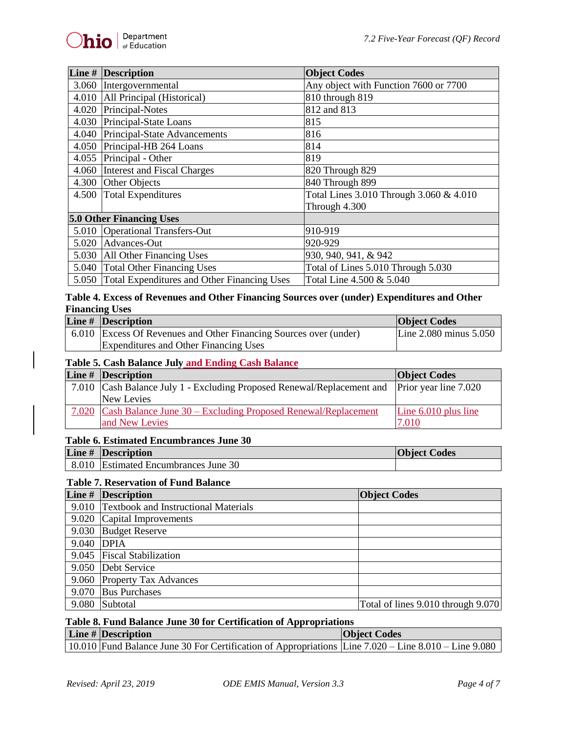| Line # Description                                | <b>Object Codes</b>                     |
|---------------------------------------------------|-----------------------------------------|
| 3.060 Intergovernmental                           | Any object with Function 7600 or 7700   |
| 4.010 All Principal (Historical)                  | 810 through 819                         |
| 4.020 Principal-Notes                             | 812 and 813                             |
| 4.030 Principal-State Loans                       | 815                                     |
| 4.040 Principal-State Advancements                | 816                                     |
| 4.050 Principal-HB 264 Loans                      | 814                                     |
| 4.055 Principal - Other                           | 819                                     |
| 4.060 Interest and Fiscal Charges                 | 820 Through 829                         |
| 4.300 Other Objects                               | 840 Through 899                         |
| 4.500 Total Expenditures                          | Total Lines 3.010 Through 3.060 & 4.010 |
|                                                   | Through 4.300                           |
| <b>5.0 Other Financing Uses</b>                   |                                         |
| 5.010 Operational Transfers-Out                   | 910-919                                 |
| 5.020 Advances-Out                                | 920-929                                 |
| 5.030 All Other Financing Uses                    | 930, 940, 941, & 942                    |
| 5.040 Total Other Financing Uses                  | Total of Lines 5.010 Through 5.030      |
| 5.050 Total Expenditures and Other Financing Uses | Total Line 4.500 & 5.040                |

#### **Table 4. Excess of Revenues and Other Financing Sources over (under) Expenditures and Other Financing Uses**

| Line $#$ Description                                              | <b>Object Codes</b>        |
|-------------------------------------------------------------------|----------------------------|
| 6.010 Excess Of Revenues and Other Financing Sources over (under) | Line $2.080$ minus $5.050$ |
| Expenditures and Other Financing Uses                             |                            |

#### **Table 5. Cash Balance July and Ending Cash Balance**

| Line $#$ Description                                                                         | <b>Object Codes</b>    |
|----------------------------------------------------------------------------------------------|------------------------|
| 7.010 Cash Balance July 1 - Excluding Proposed Renewal/Replacement and Prior year line 7.020 |                        |
| New Levies                                                                                   |                        |
| 7.020 Cash Balance June 30 – Excluding Proposed Renewal/Replacement                          | Line $6.010$ plus line |
| and New Levies                                                                               | 7.010                  |

#### **Table 6. Estimated Encumbrances June 30**

| Line $#$ Description                 | <b>Object Codes</b> |
|--------------------------------------|---------------------|
| 8.010 Estimated Encumbrances June 30 |                     |

#### **Table 7. Reservation of Fund Balance**

|            | Line $#$ Description                       | <b>Object Codes</b>                |
|------------|--------------------------------------------|------------------------------------|
|            | 9.010 Textbook and Instructional Materials |                                    |
|            | 9.020 Capital Improvements                 |                                    |
|            | 9.030 Budget Reserve                       |                                    |
| 9.040 DPIA |                                            |                                    |
|            | 9.045 Fiscal Stabilization                 |                                    |
|            | 9.050 Debt Service                         |                                    |
|            | 9.060 Property Tax Advances                |                                    |
| 9.070      | <b>Bus Purchases</b>                       |                                    |
|            | 9.080 Subtotal                             | Total of lines 9.010 through 9.070 |

#### **Table 8. Fund Balance June 30 for Certification of Appropriations**

| Line $#$ Description                                                                                 | <b>Object Codes</b> |
|------------------------------------------------------------------------------------------------------|---------------------|
| 10.010 Fund Balance June 30 For Certification of Appropriations Line 7.020 – Line 8.010 – Line 9.080 |                     |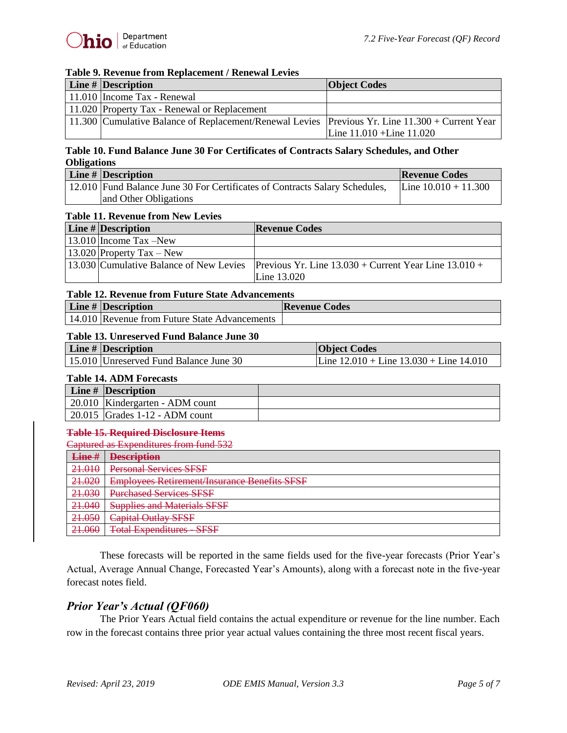#### **Table 9. Revenue from Replacement / Renewal Levies**

| Line $#$ Description                                                                            | <b>Object Codes</b>           |
|-------------------------------------------------------------------------------------------------|-------------------------------|
| 11.010 Income Tax - Renewal                                                                     |                               |
| 11.020 Property Tax - Renewal or Replacement                                                    |                               |
| 11.300 Cumulative Balance of Replacement/Renewal Levies Previous Yr. Line 11.300 + Current Year |                               |
|                                                                                                 | Line $11.010 +$ Line $11.020$ |

#### **Table 10. Fund Balance June 30 For Certificates of Contracts Salary Schedules, and Other Obligations**

| Line # Description                                                          | <b>Revenue Codes</b>   |
|-----------------------------------------------------------------------------|------------------------|
| 12.010 Fund Balance June 30 For Certificates of Contracts Salary Schedules, | Line $10.010 + 11.300$ |
| and Other Obligations                                                       |                        |

#### **Table 11. Revenue from New Levies**

| Line $\#$ Description     | <b>Revenue Codes</b>                                                                              |
|---------------------------|---------------------------------------------------------------------------------------------------|
| $13.010$ Income Tax -New  |                                                                                                   |
| 13.020 Property Tax – New |                                                                                                   |
|                           | 13.030 Cumulative Balance of New Levies Previous Yr. Line $13.030 +$ Current Year Line $13.010 +$ |
|                           | Line 13.020                                                                                       |

#### **Table 12. Revenue from Future State Advancements**

| <b>Line # Description</b>                     | <b>Revenue Codes</b> |
|-----------------------------------------------|----------------------|
| 14.010 Revenue from Future State Advancements |                      |

#### **Table 13. Unreserved Fund Balance June 30**

| Line # Description |                                        | <b>Object Codes</b>                           |  |
|--------------------|----------------------------------------|-----------------------------------------------|--|
|                    | 15.010 Unreserved Fund Balance June 30 | Line $12.010 +$ Line $13.030 +$ Line $14.010$ |  |

#### **Table 14. ADM Forecasts**

| Line $#$ Description                           |  |
|------------------------------------------------|--|
| 20.010   Kindergarten - ADM count              |  |
| $\vert$ 20.015 $\vert$ Grades 1-12 - ADM count |  |

#### **Table 15. Required Disclosure Items**

Captured as Expenditures from fund 532

| Line#                            | <b>Description</b>                                               |
|----------------------------------|------------------------------------------------------------------|
| 21.010                           | <b>Personal Services SFSF</b>                                    |
| 21,020<br><del>21.020</del>      | <b>Employees Retirement/Insurance Benefits SFSF</b>              |
| 21.030<br><del>21.030</del>      | Durchased Carvices CECE<br><del>r urchased dei vices of of</del> |
| $21 \Omega$<br><del>41.040</del> | <b>Supplies and Materials SFSF</b>                               |
| 21.050                           | <b>Capital Outlay SFSF</b>                                       |
| 21060<br>21.000                  | Total Expanditures SESE<br>TUMI LADUMUMU - DI DI                 |

These forecasts will be reported in the same fields used for the five-year forecasts (Prior Year's Actual, Average Annual Change, Forecasted Year's Amounts), along with a forecast note in the five-year forecast notes field.

### <span id="page-5-0"></span>*Prior Year's Actual (QF060)*

The Prior Years Actual field contains the actual expenditure or revenue for the line number. Each row in the forecast contains three prior year actual values containing the three most recent fiscal years.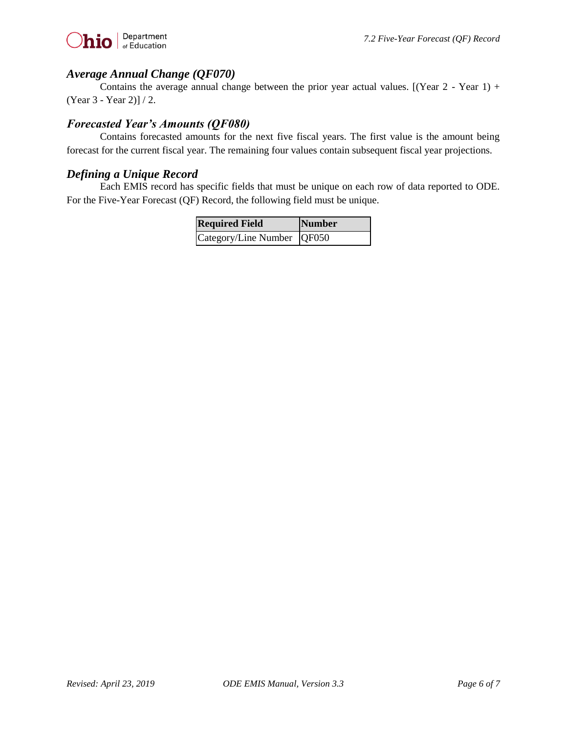

#### <span id="page-6-0"></span>*Average Annual Change (QF070)*

Contains the average annual change between the prior year actual values.  $[(Year 2 - Year 1) +$ (Year 3 - Year 2)] / 2.

### <span id="page-6-1"></span>*Forecasted Year's Amounts (QF080)*

Contains forecasted amounts for the next five fiscal years. The first value is the amount being forecast for the current fiscal year. The remaining four values contain subsequent fiscal year projections.

#### <span id="page-6-2"></span>*Defining a Unique Record*

Each EMIS record has specific fields that must be unique on each row of data reported to ODE. For the Five-Year Forecast (QF) Record, the following field must be unique.

| <b>Required Field</b>        | Number |
|------------------------------|--------|
| Category/Line Number   QF050 |        |